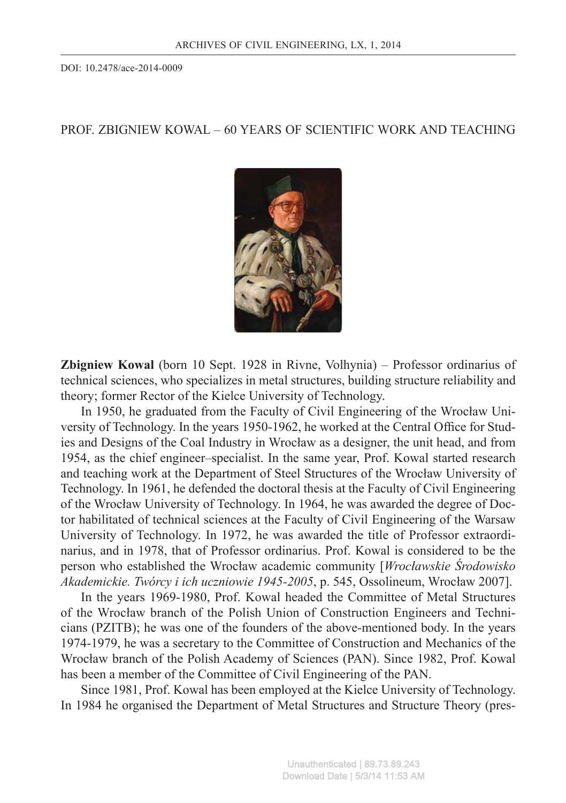DOI: 10.2478/ace-2014-0009

## PROF. ZBIGNIEW KOWAL – 60 YEARS OF SCIENTIFIC WORK AND TEACHING



**Zbigniew Kowal** (born 10 Sept. 1928 in Rivne, Volhynia) – Professor ordinarius of technical sciences, who specializes in metal structures, building structure reliability and theory; former Rector of the Kielce University of Technology.

In 1950, he graduated from the Faculty of Civil Engineering of the Wrocław University of Technology. In the years 1950-1962, he worked at the Central Office for Studies and Designs of the Coal Industry in Wrocław as a designer, the unit head, and from 1954, as the chief engineer–specialist. In the same year, Prof. Kowal started research and teaching work at the Department of Steel Structures of the Wrocław University of Technology. In 1961, he defended the doctoral thesis at the Faculty of Civil Engineering of the Wrocław University of Technology. In 1964, he was awarded the degree of Doctor habilitated of technical sciences at the Faculty of Civil Engineering of the Warsaw University of Technology. In 1972, he was awarded the title of Professor extraordinarius, and in 1978, that of Professor ordinarius. Prof. Kowal is considered to be the person who established the Wrocław academic community [*Wrocławskie Środowisko Akademickie. Twórcy i ich uczniowie 1945-2005*, p. 545, Ossolineum, Wrocław 2007].

In the years 1969-1980, Prof. Kowal headed the Committee of Metal Structures of the Wrocław branch of the Polish Union of Construction Engineers and Technicians (PZITB); he was one of the founders of the above-mentioned body. In the years 1974-1979, he was a secretary to the Committee of Construction and Mechanics of the Wrocław branch of the Polish Academy of Sciences (PAN). Since 1982, Prof. Kowal has been a member of the Committee of Civil Engineering of the PAN.

Since 1981, Prof. Kowal has been employed at the Kielce University of Technology. In 1984 he organised the Department of Metal Structures and Structure Theory (pres